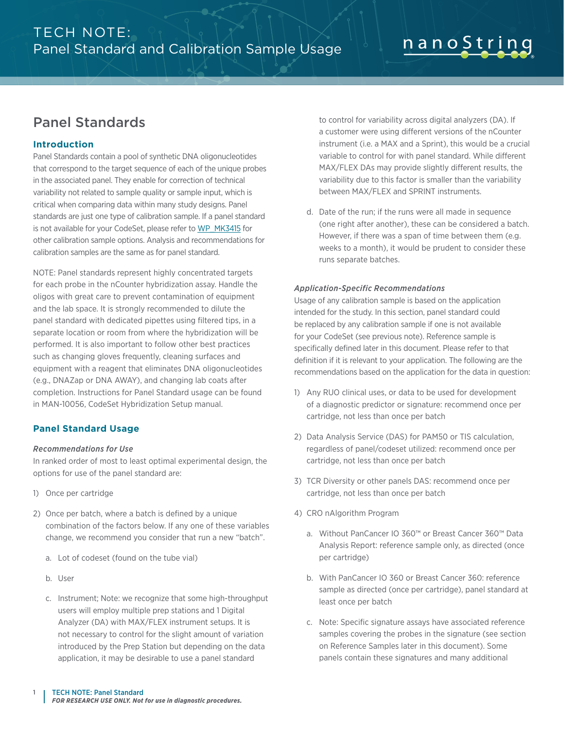# nanoString

# Panel Standards

# **Introduction**

Panel Standards contain a pool of synthetic DNA oligonucleotides that correspond to the target sequence of each of the unique probes in the associated panel. They enable for correction of technical variability not related to sample quality or sample input, which is critical when comparing data within many study designs. Panel standards are just one type of calibration sample. If a panel standard is not available for your CodeSet, please refer to [WP\\_MK3415](https://www.nanostring.com/support-documents/best-practices-for-clinical-research-biomarker-studies/) for other calibration sample options. Analysis and recommendations for calibration samples are the same as for panel standard.

NOTE: Panel standards represent highly concentrated targets for each probe in the nCounter hybridization assay. Handle the oligos with great care to prevent contamination of equipment and the lab space. It is strongly recommended to dilute the panel standard with dedicated pipettes using filtered tips, in a separate location or room from where the hybridization will be performed. It is also important to follow other best practices such as changing gloves frequently, cleaning surfaces and equipment with a reagent that eliminates DNA oligonucleotides (e.g., DNAZap or DNA AWAY), and changing lab coats after completion. Instructions for Panel Standard usage can be found in [MAN-10056, CodeSet Hybridization Setup manual.](https://www.nanostring.com/wp-content/uploads/2021/03/MAN-10056-05-Gene-Expression-Hybridization-Protocol.pdf)

## **Panel Standard Usage**

#### *Recommendations for Use*

In ranked order of most to least optimal experimental design, the options for use of the panel standard are:

- 1) Once per cartridge
- 2) Once per batch, where a batch is defined by a unique combination of the factors below. If any one of these variables change, we recommend you consider that run a new "batch".
	- a. Lot of codeset (found on the tube vial)
	- b. User
	- c. Instrument; Note: we recognize that some high-throughput users will employ multiple prep stations and 1 Digital Analyzer (DA) with MAX/FLEX instrument setups. It is not necessary to control for the slight amount of variation introduced by the Prep Station but depending on the data application, it may be desirable to use a panel standard

to control for variability across digital analyzers (DA). If a customer were using different versions of the nCounter instrument (i.e. a MAX and a Sprint), this would be a crucial variable to control for with panel standard. While different MAX/FLEX DAs may provide slightly different results, the variability due to this factor is smaller than the variability between MAX/FLEX and SPRINT instruments.

d. Date of the run; if the runs were all made in sequence (one right after another), these can be considered a batch. However, if there was a span of time between them (e.g. weeks to a month), it would be prudent to consider these runs separate batches.

#### *Application-Specific Recommendations*

Usage of any calibration sample is based on the application intended for the study. In this section, panel standard could be replaced by any calibration sample if one is not available for your CodeSet (see previous note). Reference sample is specifically defined later in this document. Please refer to that definition if it is relevant to your application. The following are the recommendations based on the application for the data in question:

- 1) Any RUO clinical uses, or data to be used for development of a diagnostic predictor or signature: recommend once per cartridge, not less than once per batch
- 2) Data Analysis Service (DAS) for PAM50 or TIS calculation, regardless of panel/codeset utilized: recommend once per cartridge, not less than once per batch
- 3) TCR Diversity or other panels DAS: recommend once per cartridge, not less than once per batch
- 4) CRO nAlgorithm Program
	- a. Without PanCancer IO 360™ or Breast Cancer 360™ Data Analysis Report: reference sample only, as directed (once per cartridge)
	- b. With PanCancer IO 360 or Breast Cancer 360: reference sample as directed (once per cartridge), panel standard at least once per batch
	- c. Note: Specific signature assays have associated reference samples covering the probes in the signature (see section on Reference Samples later in this document). Some panels contain these signatures and many additional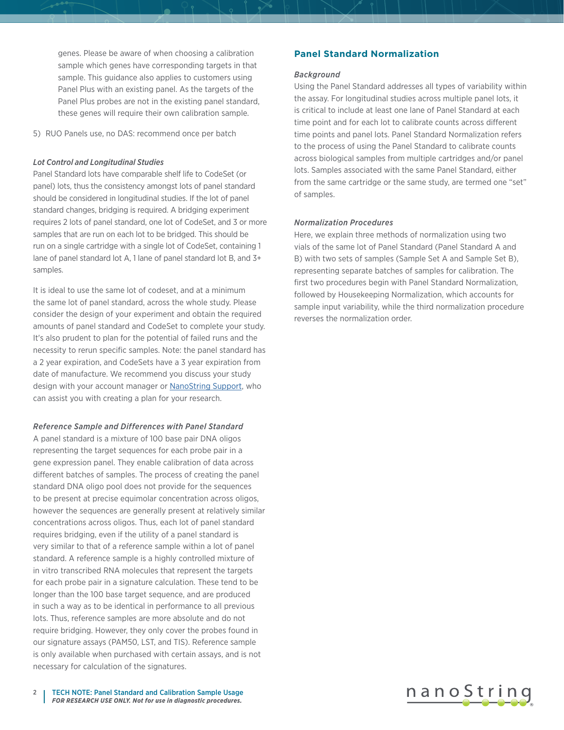genes. Please be aware of when choosing a calibration sample which genes have corresponding targets in that sample. This guidance also applies to customers using Panel Plus with an existing panel. As the targets of the Panel Plus probes are not in the existing panel standard, these genes will require their own calibration sample.

5) RUO Panels use, no DAS: recommend once per batch

#### *Lot Control and Longitudinal Studies*

Panel Standard lots have comparable shelf life to CodeSet (or panel) lots, thus the consistency amongst lots of panel standard should be considered in longitudinal studies. If the lot of panel standard changes, bridging is required. A bridging experiment requires 2 lots of panel standard, one lot of CodeSet, and 3 or more samples that are run on each lot to be bridged. This should be run on a single cartridge with a single lot of CodeSet, containing 1 lane of panel standard lot A, 1 lane of panel standard lot B, and 3+ samples.

It is ideal to use the same lot of codeset, and at a minimum the same lot of panel standard, across the whole study. Please consider the design of your experiment and obtain the required amounts of panel standard and CodeSet to complete your study. It's also prudent to plan for the potential of failed runs and the necessity to rerun specific samples. Note: the panel standard has a 2 year expiration, and CodeSets have a 3 year expiration from date of manufacture. We recommend you discuss your study design with your account manager or [NanoString Support,](mailto:support%40nanostring.com?subject=NanoString%20Support) who can assist you with creating a plan for your research.

#### *Reference Sample and Differences with Panel Standard*

A panel standard is a mixture of 100 base pair DNA oligos representing the target sequences for each probe pair in a gene expression panel. They enable calibration of data across different batches of samples. The process of creating the panel standard DNA oligo pool does not provide for the sequences to be present at precise equimolar concentration across oligos, however the sequences are generally present at relatively similar concentrations across oligos. Thus, each lot of panel standard requires bridging, even if the utility of a panel standard is very similar to that of a reference sample within a lot of panel standard. A reference sample is a highly controlled mixture of in vitro transcribed RNA molecules that represent the targets for each probe pair in a signature calculation. These tend to be longer than the 100 base target sequence, and are produced in such a way as to be identical in performance to all previous lots. Thus, reference samples are more absolute and do not require bridging. However, they only cover the probes found in our signature assays (PAM50, LST, and TIS). Reference sample is only available when purchased with certain assays, and is not necessary for calculation of the signatures.

#### *Background*

Using the Panel Standard addresses all types of variability within the assay. For longitudinal studies across multiple panel lots, it is critical to include at least one lane of Panel Standard at each time point and for each lot to calibrate counts across different time points and panel lots. Panel Standard Normalization refers to the process of using the Panel Standard to calibrate counts across biological samples from multiple cartridges and/or panel lots. Samples associated with the same Panel Standard, either from the same cartridge or the same study, are termed one "set" of samples.

#### *Normalization Procedures*

Here, we explain three methods of normalization using two vials of the same lot of Panel Standard (Panel Standard A and B) with two sets of samples (Sample Set A and Sample Set B), representing separate batches of samples for calibration. The first two procedures begin with Panel Standard Normalization, followed by Housekeeping Normalization, which accounts for sample input variability, while the third normalization procedure reverses the normalization order.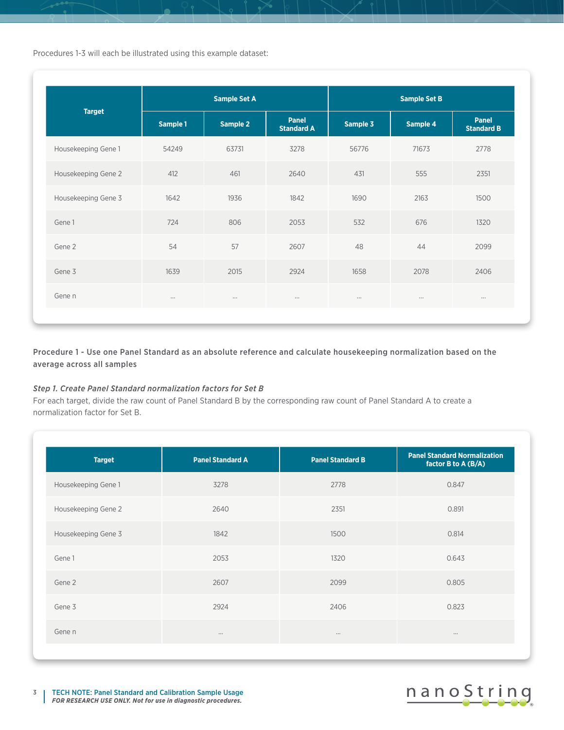Procedures 1-3 will each be illustrated using this example dataset:

|                     | <b>Sample Set A</b> |          |                                   | <b>Sample Set B</b> |          |                                   |
|---------------------|---------------------|----------|-----------------------------------|---------------------|----------|-----------------------------------|
| <b>Target</b>       | Sample 1            | Sample 2 | <b>Panel</b><br><b>Standard A</b> | Sample 3            | Sample 4 | <b>Panel</b><br><b>Standard B</b> |
| Housekeeping Gene 1 | 54249               | 63731    | 3278                              | 56776               | 71673    | 2778                              |
| Housekeeping Gene 2 | 412                 | 461      | 2640                              | 431                 | 555      | 2351                              |
| Housekeeping Gene 3 | 1642                | 1936     | 1842                              | 1690                | 2163     | 1500                              |
| Gene 1              | 724                 | 806      | 2053                              | 532                 | 676      | 1320                              |
| Gene 2              | 54                  | 57       | 2607                              | 48                  | 44       | 2099                              |
| Gene 3              | 1639                | 2015     | 2924                              | 1658                | 2078     | 2406                              |
| Gene n              | $\cdots$            | $\cdots$ | $\cdots$                          | $\cdots$            | $\cdots$ | $\cdots$                          |

Procedure 1 - Use one Panel Standard as an absolute reference and calculate housekeeping normalization based on the average across all samples

#### *Step 1. Create Panel Standard normalization factors for Set B*

For each target, divide the raw count of Panel Standard B by the corresponding raw count of Panel Standard A to create a normalization factor for Set B.

| <b>Target</b>       | <b>Panel Standard A</b> | <b>Panel Standard B</b> | <b>Panel Standard Normalization</b><br>factor B to A (B/A) |
|---------------------|-------------------------|-------------------------|------------------------------------------------------------|
| Housekeeping Gene 1 | 3278                    | 2778                    | 0.847                                                      |
| Housekeeping Gene 2 | 2640                    | 2351                    | 0.891                                                      |
| Housekeeping Gene 3 | 1842                    | 1500                    | 0.814                                                      |
| Gene 1              | 2053                    | 1320                    | 0.643                                                      |
| Gene 2              | 2607                    | 2099                    | 0.805                                                      |
| Gene 3              | 2924                    | 2406                    | 0.823                                                      |
| Gene n              | $\cdots$                | $\cdots$                | $\cdots$                                                   |

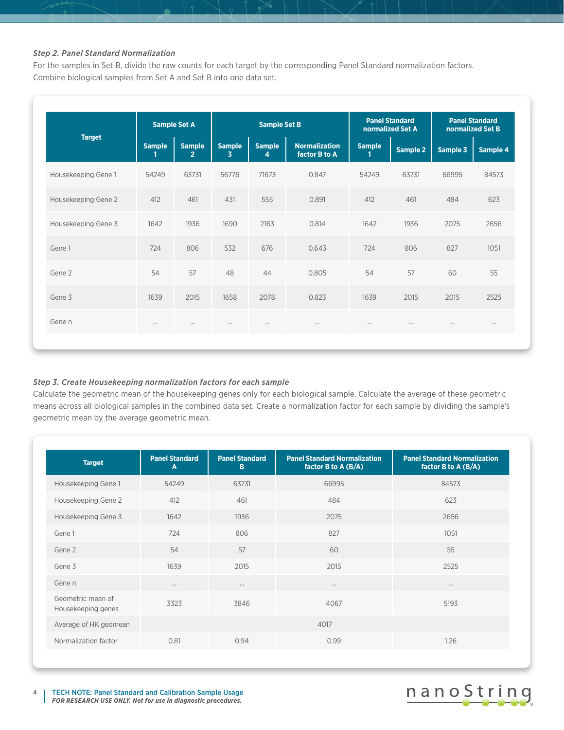#### *Step 2. Panel Standard Normalization*

For the samples in Set B, divide the raw counts for each target by the corresponding Panel Standard normalization factors. Combine biological samples from Set A and Set B into one data set.

|                     |               | <b>Sample Set A</b> | <b>Sample Set B</b> |                    | <b>Panel Standard</b><br>normalized Set A |               | <b>Panel Standard</b><br>normalized Set B |          |          |
|---------------------|---------------|---------------------|---------------------|--------------------|-------------------------------------------|---------------|-------------------------------------------|----------|----------|
| <b>Target</b>       | <b>Sample</b> | <b>Sample</b><br>2  | <b>Sample</b><br>3  | <b>Sample</b><br>4 | <b>Normalization</b><br>factor B to A     | <b>Sample</b> | Sample 2                                  | Sample 3 | Sample 4 |
| Housekeeping Gene 1 | 54249         | 63731               | 56776               | 71673              | 0.847                                     | 54249         | 63731                                     | 66995    | 84573    |
| Housekeeping Gene 2 | 412           | 461                 | 431                 | 555                | 0.891                                     | 412           | 461                                       | 484      | 623      |
| Housekeeping Gene 3 | 1642          | 1936                | 1690                | 2163               | 0.814                                     | 1642          | 1936                                      | 2075     | 2656     |
| Gene 1              | 724           | 806                 | 532                 | 676                | 0.643                                     | 724           | 806                                       | 827      | 1051     |
| Gene 2              | 54            | 57                  | 48                  | 44                 | 0.805                                     | 54            | 57                                        | 60       | 55       |
| Gene 3              | 1639          | 2015                | 1658                | 2078               | 0.823                                     | 1639          | 2015                                      | 2015     | 2525     |
| Gene n              | $\cdots$      | $\cdots$            | $\cdots$            | $\cdots$           | $\cdots$                                  | $\cdots$      | $\cdots$                                  | $\cdots$ | $\cdots$ |

#### *Step 3. Create Housekeeping normalization factors for each sample*

Calculate the geometric mean of the housekeeping genes only for each biological sample. Calculate the average of these geometric means across all biological samples in the combined data set. Create a normalization factor for each sample by dividing the sample's geometric mean by the average geometric mean.

| <b>Target</b>                           | <b>Panel Standard</b><br>A | <b>Panel Standard</b><br>B | <b>Panel Standard Normalization</b><br>factor B to A (B/A) | <b>Panel Standard Normalization</b><br>factor B to A (B/A) |
|-----------------------------------------|----------------------------|----------------------------|------------------------------------------------------------|------------------------------------------------------------|
| Housekeeping Gene 1                     | 54249                      | 63731                      | 66995                                                      | 84573                                                      |
| Housekeeping Gene 2                     | 412                        | 461                        | 484                                                        | 623                                                        |
| Housekeeping Gene 3                     | 1642                       | 1936                       | 2075                                                       | 2656                                                       |
| Gene 1                                  | 724                        | 806                        | 827                                                        | 1051                                                       |
| Gene 2                                  | 54                         | 57                         | 60                                                         | 55                                                         |
| Gene 3                                  | 1639                       | 2015                       | 2015                                                       | 2525                                                       |
| Gene n                                  | $\cdots$                   | $\cdots$                   | $\cdots$                                                   | $\cdots$                                                   |
| Geometric mean of<br>Housekeeping genes | 3323                       | 3846                       | 4067                                                       | 5193                                                       |
| Average of HK geomean                   |                            |                            | 4017                                                       |                                                            |
| Normalization factor                    | 0.81                       | 0.94                       | 0.99                                                       | 1.26                                                       |

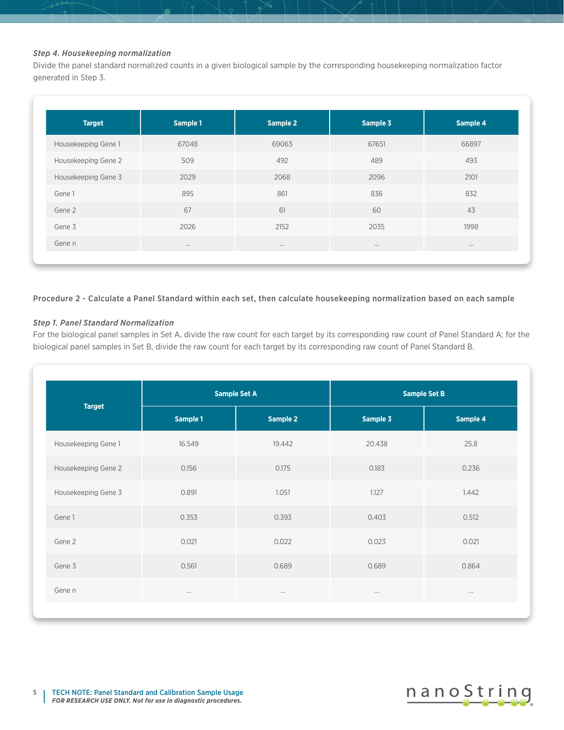#### *Step 4. Housekeeping normalization*

Divide the panel standard normalized counts in a given biological sample by the corresponding housekeeping normalization factor generated in Step 3.

| <b>Target</b>       | Sample 1 | Sample 2 | Sample 3 | Sample 4 |
|---------------------|----------|----------|----------|----------|
| Housekeeping Gene 1 | 67048    | 69063    | 67651    | 66897    |
| Housekeeping Gene 2 | 509      | 492      | 489      | 493      |
| Housekeeping Gene 3 | 2029     | 2068     | 2096     | 2101     |
| Gene 1              | 895      | 861      | 836      | 832      |
| Gene 2              | 67       | 61       | 60       | 43       |
| Gene 3              | 2026     | 2152     | 2035     | 1998     |
| Gene n              | $\cdots$ | $\cdots$ | $\cdots$ | $\cdots$ |

#### Procedure 2 - Calculate a Panel Standard within each set, then calculate housekeeping normalization based on each sample

#### *Step 1. Panel Standard Normalization*

For the biological panel samples in Set A, divide the raw count for each target by its corresponding raw count of Panel Standard A; for the biological panel samples in Set B, divide the raw count for each target by its corresponding raw count of Panel Standard B.

|                     | <b>Sample Set A</b> |                 | <b>Sample Set B</b> |          |  |
|---------------------|---------------------|-----------------|---------------------|----------|--|
| <b>Target</b>       | Sample 1            | <b>Sample 2</b> | Sample 3            | Sample 4 |  |
| Housekeeping Gene 1 | 16.549              | 19.442          | 20.438              | 25.8     |  |
| Housekeeping Gene 2 | 0.156               | 0.175           | 0.183               | 0.236    |  |
| Housekeeping Gene 3 | 0.891               | 1.051           | 1.127               | 1.442    |  |
| Gene 1              | 0.353               | 0.393           | 0.403               | 0.512    |  |
| Gene 2              | 0.021               | 0.022           | 0.023               | 0.021    |  |
| Gene 3              | 0.561               | 0.689           | 0.689               | 0.864    |  |
| Gene n              | $\cdots$            | $\cdots$        | $\cdots$            | $\cdots$ |  |

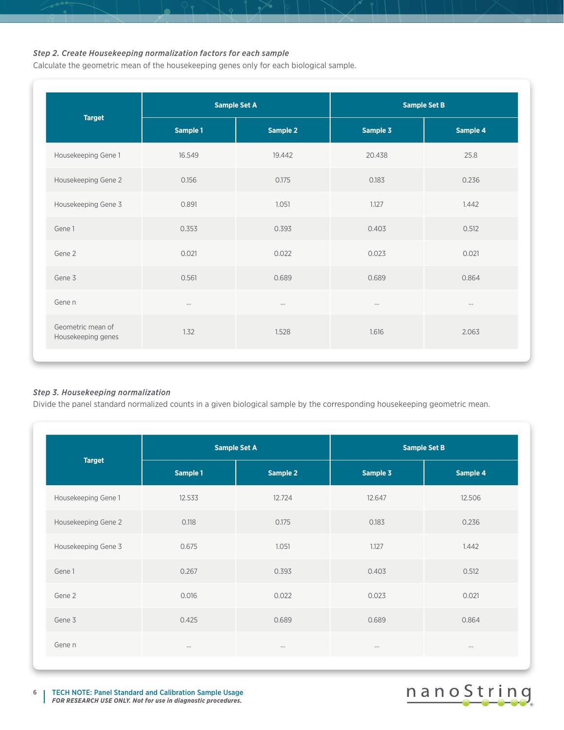#### *Step 2. Create Housekeeping normalization factors for each sample*

Calculate the geometric mean of the housekeeping genes only for each biological sample.

|          |          | <b>Sample Set B</b> |          |  |
|----------|----------|---------------------|----------|--|
| Sample 1 | Sample 2 | Sample 3            | Sample 4 |  |
| 16.549   | 19.442   | 20.438              | 25.8     |  |
| 0.156    | 0.175    | 0.183               | 0.236    |  |
| 0.891    | 1.051    | 1.127               | 1.442    |  |
| 0.353    | 0.393    | 0.403               | 0.512    |  |
| 0.021    | 0.022    | 0.023               | 0.021    |  |
| 0.561    | 0.689    | 0.689               | 0.864    |  |
| $\cdots$ | $\cdots$ | $\cdots$            | $\cdots$ |  |
| 1.32     | 1.528    | 1.616               | 2.063    |  |
|          |          | <b>Sample Set A</b> |          |  |

#### *Step 3. Housekeeping normalization*

Divide the panel standard normalized counts in a given biological sample by the corresponding housekeeping geometric mean.

|                     | <b>Sample Set A</b> |          | <b>Sample Set B</b> |          |  |
|---------------------|---------------------|----------|---------------------|----------|--|
| <b>Target</b>       | Sample 1            | Sample 2 | Sample 3            | Sample 4 |  |
| Housekeeping Gene 1 | 12.533              | 12.724   | 12.647              | 12.506   |  |
| Housekeeping Gene 2 | 0.118               | 0.175    | 0.183               | 0.236    |  |
| Housekeeping Gene 3 | 0.675               | 1.051    | 1.127               | 1.442    |  |
| Gene 1              | 0.267               | 0.393    | 0.403               | 0.512    |  |
| Gene 2              | 0.016               | 0.022    | 0.023               | 0.021    |  |
| Gene 3              | 0.425               | 0.689    | 0.689               | 0.864    |  |
| Gene n              | $\cdots$            | $\cdots$ | $\cdots$            | $\cdots$ |  |

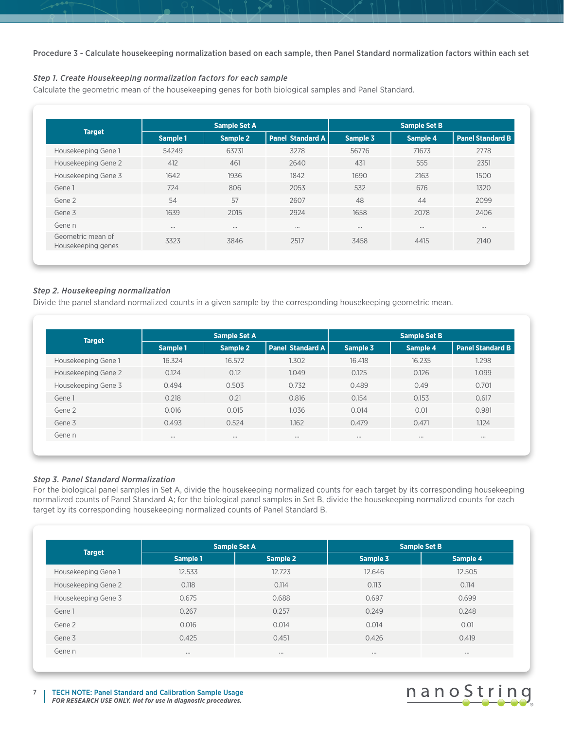Procedure 3 - Calculate housekeeping normalization based on each sample, then Panel Standard normalization factors within each set

#### *Step 1. Create Housekeeping normalization factors for each sample*

Calculate the geometric mean of the housekeeping genes for both biological samples and Panel Standard.

|                                         | <b>Sample Set A</b> |          |                         | <b>Sample Set B</b> |          |                         |  |
|-----------------------------------------|---------------------|----------|-------------------------|---------------------|----------|-------------------------|--|
| <b>Target</b>                           | Sample 1            | Sample 2 | <b>Panel Standard A</b> | Sample 3            | Sample 4 | <b>Panel Standard B</b> |  |
| Housekeeping Gene 1                     | 54249               | 63731    | 3278                    | 56776               | 71673    | 2778                    |  |
| Housekeeping Gene 2                     | 412                 | 461      | 2640                    | 431                 | 555      | 2351                    |  |
| Housekeeping Gene 3                     | 1642                | 1936     | 1842                    | 1690                | 2163     | 1500                    |  |
| Gene 1                                  | 724                 | 806      | 2053                    | 532                 | 676      | 1320                    |  |
| Gene 2                                  | 54                  | 57       | 2607                    | 48                  | 44       | 2099                    |  |
| Gene 3                                  | 1639                | 2015     | 2924                    | 1658                | 2078     | 2406                    |  |
| Gene n                                  | $\cdots$            | $\cdots$ | $\cdots$                | $\cdots$            | $\cdots$ | $\cdots$                |  |
| Geometric mean of<br>Housekeeping genes | 3323                | 3846     | 2517                    | 3458                | 4415     | 2140                    |  |

#### *Step 2. Housekeeping normalization*

Divide the panel standard normalized counts in a given sample by the corresponding housekeeping geometric mean.

| <b>Target</b>       | <b>Sample Set A</b> |          |                      | <b>Sample Set B</b> |          |                         |
|---------------------|---------------------|----------|----------------------|---------------------|----------|-------------------------|
|                     | Sample 1            | Sample 2 | l Panel Standard A l | Sample 3            | Sample 4 | <b>Panel Standard B</b> |
| Housekeeping Gene 1 | 16.324              | 16.572   | 1.302                | 16.418              | 16.235   | 1.298                   |
| Housekeeping Gene 2 | 0.124               | 0.12     | 1.049                | 0.125               | 0.126    | 1.099                   |
| Housekeeping Gene 3 | 0.494               | 0.503    | 0.732                | 0.489               | 0.49     | 0.701                   |
| Gene 1              | 0.218               | 0.21     | 0.816                | 0.154               | 0.153    | 0.617                   |
| Gene 2              | 0.016               | 0.015    | 1.036                | 0.014               | 0.01     | 0.981                   |
| Gene 3              | 0.493               | 0.524    | 1.162                | 0.479               | 0.471    | 1.124                   |
| Gene n              | $\cdots$            | $\cdots$ | $\cdots$             | $\cdots$            | $\cdots$ |                         |

## *Step 3. Panel Standard Normalization*

For the biological panel samples in Set A, divide the housekeeping normalized counts for each target by its corresponding housekeeping normalized counts of Panel Standard A; for the biological panel samples in Set B, divide the housekeeping normalized counts for each target by its corresponding housekeeping normalized counts of Panel Standard B.

|                     |          | <b>Sample Set A</b> | <b>Sample Set B</b> |          |  |
|---------------------|----------|---------------------|---------------------|----------|--|
| <b>Target</b>       | Sample 1 | Sample 2            | Sample 3            | Sample 4 |  |
| Housekeeping Gene 1 | 12.533   | 12.723              | 12.646              | 12.505   |  |
| Housekeeping Gene 2 | 0.118    | 0.114               | 0.113               | 0.114    |  |
| Housekeeping Gene 3 | 0.675    | 0.688               | 0.697               | 0.699    |  |
| Gene 1              | 0.267    | 0.257               | 0.249               | 0.248    |  |
| Gene 2              | 0.016    | 0.014               | 0.014               | 0.01     |  |
| Gene 3              | 0.425    | 0.451               | 0.426               | 0.419    |  |
| Gene n              | $\cdots$ | $\cdots$            | $\cdots$            | $\cdots$ |  |